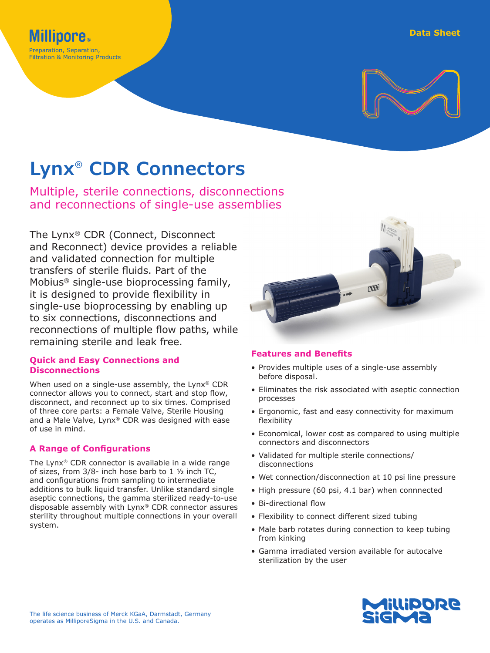

# **Lynx® CDR Connectors**

**Millipore.** Preparation, Separation, **Filtration & Monitoring Products** 

Multiple, sterile connections, disconnections and reconnections of single-use assemblies

The Lynx® CDR (Connect, Disconnect and Reconnect) device provides a reliable and validated connection for multiple transfers of sterile fluids. Part of the Mobius® single-use bioprocessing family, it is designed to provide flexibility in single-use bioprocessing by enabling up to six connections, disconnections and reconnections of multiple flow paths, while remaining sterile and leak free.

### **Quick and Easy Connections and Disconnections**

When used on a single-use assembly, the Lynx® CDR connector allows you to connect, start and stop flow, disconnect, and reconnect up to six times. Comprised of three core parts: a Female Valve, Sterile Housing and a Male Valve, Lynx® CDR was designed with ease of use in mind.

### **A Range of Configurations**

The Lynx® CDR connector is available in a wide range of sizes, from 3/8- inch hose barb to 1 ½ inch TC, and configurations from sampling to intermediate additions to bulk liquid transfer. Unlike standard single aseptic connections, the gamma sterilized ready-to-use disposable assembly with Lynx® CDR connector assures sterility throughout multiple connections in your overall system.



### **Features and Benefits**

- Provides multiple uses of a single-use assembly before disposal.
- Eliminates the risk associated with aseptic connection processes
- Ergonomic, fast and easy connectivity for maximum flexibility
- Economical, lower cost as compared to using multiple connectors and disconnectors
- Validated for multiple sterile connections/ disconnections
- Wet connection/disconnection at 10 psi line pressure
- High pressure (60 psi, 4.1 bar) when connnected
- Bi-directional flow
- Flexibility to connect different sized tubing
- Male barb rotates during connection to keep tubing from kinking
- Gamma irradiated version available for autocalve sterilization by the user

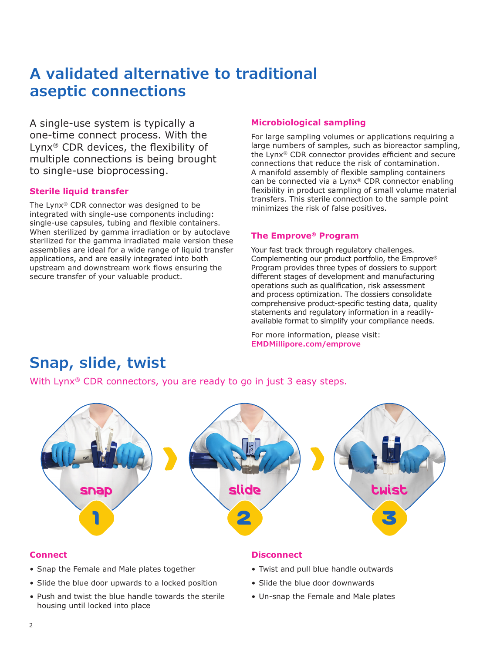# **A validated alternative to traditional aseptic connections**

A single-use system is typically a one-time connect process. With the Lynx® CDR devices, the flexibility of multiple connections is being brought to single-use bioprocessing.

### **Sterile liquid transfer**

The Lynx® CDR connector was designed to be integrated with single-use components including: single-use capsules, tubing and flexible containers. When sterilized by gamma irradiation or by autoclave sterilized for the gamma irradiated male version these assemblies are ideal for a wide range of liquid transfer applications, and are easily integrated into both upstream and downstream work flows ensuring the secure transfer of your valuable product.

### **Microbiological sampling**

For large sampling volumes or applications requiring a large numbers of samples, such as bioreactor sampling, the Lynx® CDR connector provides efficient and secure connections that reduce the risk of contamination. A manifold assembly of flexible sampling containers can be connected via a Lynx® CDR connector enabling flexibility in product sampling of small volume material transfers. This sterile connection to the sample point minimizes the risk of false positives.

### **The Emprove® Program**

Your fast track through regulatory challenges. Complementing our product portfolio, the Emprove® Program provides three types of dossiers to support different stages of development and manufacturing operations such as qualification, risk assessment and process optimization. The dossiers consolidate comprehensive product-specific testing data, quality statements and regulatory information in a readilyavailable format to simplify your compliance needs.

For more information, please visit: **[EMDMillipore.com/emprove](http://EMDMillipore.com/emprove )**

## **Snap, slide, twist**

With Lynx<sup>®</sup> CDR connectors, you are ready to go in just 3 easy steps.



### **Connect**

- Snap the Female and Male plates together
- Slide the blue door upwards to a locked position
- Push and twist the blue handle towards the sterile housing until locked into place

#### **Disconnect**

- Twist and pull blue handle outwards
- Slide the blue door downwards
- Un-snap the Female and Male plates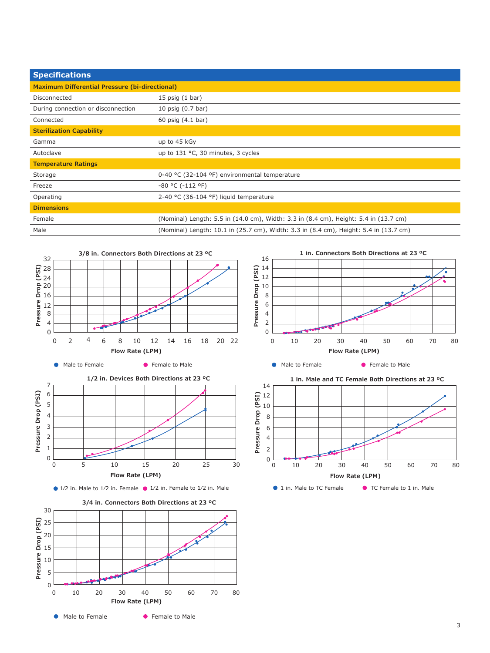| <b>Specifications</b>                                 |                                                                                       |  |  |  |
|-------------------------------------------------------|---------------------------------------------------------------------------------------|--|--|--|
| <b>Maximum Differential Pressure (bi-directional)</b> |                                                                                       |  |  |  |
| Disconnected                                          | 15 $psi(1 bar)$                                                                       |  |  |  |
| During connection or disconnection                    | 10 psig (0.7 bar)                                                                     |  |  |  |
| Connected                                             | 60 psig (4.1 bar)                                                                     |  |  |  |
| <b>Sterilization Capability</b>                       |                                                                                       |  |  |  |
| Gamma                                                 | up to 45 kGy                                                                          |  |  |  |
| Autoclave                                             | up to 131 °C, 30 minutes, 3 cycles                                                    |  |  |  |
| <b>Temperature Ratings</b>                            |                                                                                       |  |  |  |
| Storage                                               | 0-40 °C (32-104 °F) environmental temperature                                         |  |  |  |
| Freeze                                                | $-80$ °C ( $-112$ °F)                                                                 |  |  |  |
| Operating                                             | 2-40 °C (36-104 °F) liquid temperature                                                |  |  |  |
| <b>Dimensions</b>                                     |                                                                                       |  |  |  |
| Female                                                | (Nominal) Length: 5.5 in (14.0 cm), Width: 3.3 in (8.4 cm), Height: 5.4 in (13.7 cm)  |  |  |  |
| Male                                                  | (Nominal) Length: 10.1 in (25.7 cm), Width: 3.3 in (8.4 cm), Height: 5.4 in (13.7 cm) |  |  |  |